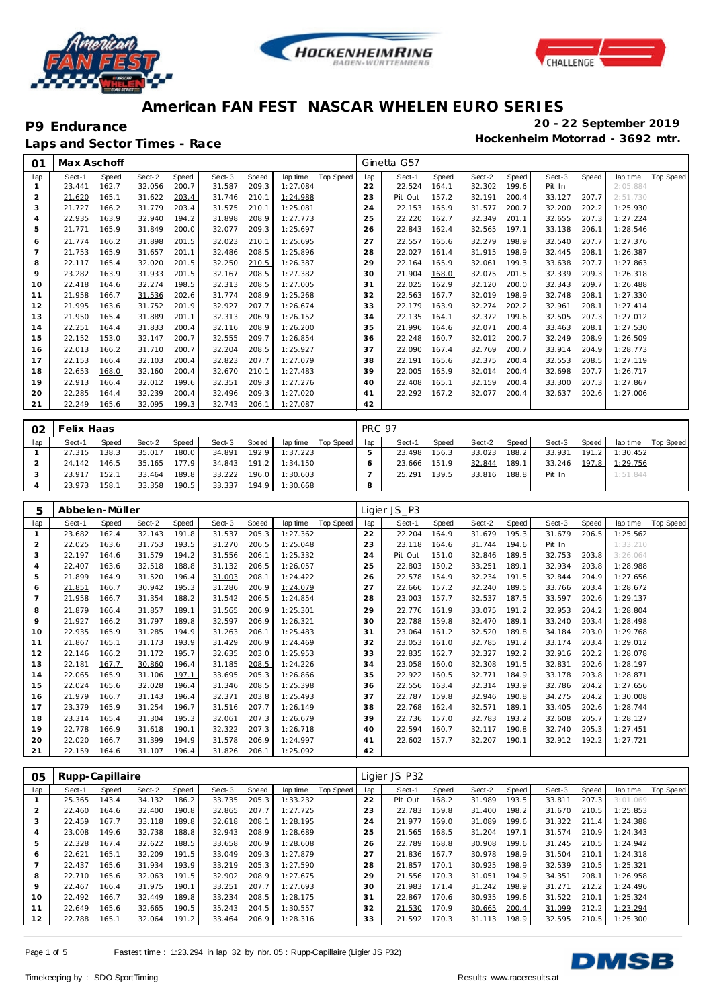





Laps and Sector Times - Race

| O <sub>1</sub>        | Max Aschoff |       |        |       |        |       |          |           |                | Ginetta G57 |       |        |       |        |       |          |           |
|-----------------------|-------------|-------|--------|-------|--------|-------|----------|-----------|----------------|-------------|-------|--------|-------|--------|-------|----------|-----------|
| lap                   | Sect-1      | Speed | Sect-2 | Speed | Sect-3 | Speed | lap time | Top Speed | lap            | Sect-1      | Speed | Sect-2 | Speed | Sect-3 | Speed | lap time | Top Speed |
|                       | 23.441      | 162.7 | 32.056 | 200.7 | 31.587 | 209.3 | 1:27.084 |           | 22             | 22.524      | 164.1 | 32.302 | 199.6 | Pit In |       | 2:05.884 |           |
| $\overline{2}$        | 21.620      | 165.1 | 31.622 | 203.4 | 31.746 | 210.1 | 1:24.988 |           | 23             | Pit Out     | 157.2 | 32.191 | 200.4 | 33.127 | 207.7 | 2:51.730 |           |
| 3                     | 21.727      | 166.2 | 31.779 | 203.4 | 31.575 | 210.1 | 1:25.081 |           | 24             | 22.153      | 165.9 | 31.577 | 200.7 | 32.200 | 202.2 | 1:25.930 |           |
| $\boldsymbol{\Delta}$ | 22.935      | 163.9 | 32.940 | 194.2 | 31.898 | 208.9 | 1:27.773 |           | 25             | 22.220      | 162.7 | 32.349 | 201.1 | 32.655 | 207.3 | 1:27.224 |           |
| 5                     | 21.771      | 165.9 | 31.849 | 200.0 | 32.077 | 209.3 | 1:25.697 |           | 26             | 22.843      | 162.4 | 32.565 | 197.1 | 33.138 | 206.1 | 1:28.546 |           |
| 6                     | 21.774      | 166.2 | 31.898 | 201.5 | 32.023 | 210.1 | 1:25.695 |           | 27             | 22.557      | 165.6 | 32.279 | 198.9 | 32.540 | 207.7 | 1:27.376 |           |
|                       | 21.753      | 165.9 | 31.657 | 201.1 | 32.486 | 208.5 | 1:25.896 |           | 28             | 22.027      | 161.4 | 31.915 | 198.9 | 32.445 | 208.1 | 1:26.387 |           |
| 8                     | 22.117      | 165.4 | 32.020 | 201.5 | 32.250 | 210.5 | 1:26.387 |           | 29             | 22.164      | 165.9 | 32.061 | 199.3 | 33.638 | 207.7 | 1:27.863 |           |
| 9                     | 23.282      | 163.9 | 31.933 | 201.5 | 32.167 | 208.5 | 1:27.382 |           | 30             | 21.904      | 168.0 | 32.075 | 201.5 | 32.339 | 209.3 | 1:26.318 |           |
| 10                    | 22.418      | 164.6 | 32.274 | 198.5 | 32.313 | 208.5 | 1:27.005 |           | 31             | 22.025      | 162.9 | 32.120 | 200.0 | 32.343 | 209.7 | 1:26.488 |           |
| 11                    | 21.958      | 166.7 | 31.536 | 202.6 | 31.774 | 208.9 | 1:25.268 |           | 32             | 22.563      | 167.7 | 32.019 | 198.9 | 32.748 | 208.1 | 1:27.330 |           |
| 12                    | 21.995      | 163.6 | 31.752 | 201.9 | 32.927 | 207.7 | 1:26.674 |           | 33             | 22.179      | 163.9 | 32.274 | 202.2 | 32.961 | 208.1 | 1:27.414 |           |
| 13                    | 21.950      | 165.4 | 31.889 | 201.1 | 32.313 | 206.9 | 1:26.152 |           | 34             | 22.135      | 164.1 | 32.372 | 199.6 | 32.505 | 207.3 | 1:27.012 |           |
| 14                    | 22.251      | 164.4 | 31.833 | 200.4 | 32.116 | 208.9 | 1:26.200 |           | 35             | 21.996      | 164.6 | 32.071 | 200.4 | 33.463 | 208.1 | 1:27.530 |           |
| 15                    | 22.152      | 153.0 | 32.147 | 200.7 | 32.555 | 209.7 | 1:26.854 |           | 36             | 22.248      | 160.7 | 32.012 | 200.7 | 32.249 | 208.9 | 1:26.509 |           |
| 16                    | 22.013      | 166.2 | 31.710 | 200.7 | 32.204 | 208.5 | 1:25.927 |           | 37             | 22.090      | 167.4 | 32.769 | 200.7 | 33.914 | 204.9 | 1:28.773 |           |
| 17                    | 22.153      | 166.4 | 32.103 | 200.4 | 32.823 | 207.7 | 1:27.079 |           | 38             | 22.191      | 165.6 | 32.375 | 200.4 | 32.553 | 208.5 | 1:27.119 |           |
| 18                    | 22.653      | 168.0 | 32.160 | 200.4 | 32.670 | 210.1 | 1:27.483 |           | 39             | 22.005      | 165.9 | 32.014 | 200.4 | 32.698 | 207.7 | 1:26.717 |           |
| 19                    | 22.913      | 166.4 | 32.012 | 199.6 | 32.351 | 209.3 | 1:27.276 |           | 40             | 22.408      | 165.1 | 32.159 | 200.4 | 33.300 | 207.3 | 1:27.867 |           |
| 20                    | 22.285      | 164.4 | 32.239 | 200.4 | 32.496 | 209.3 | 1:27.020 |           | 4 <sup>1</sup> | 22.292      | 167.2 | 32.077 | 200.4 | 32.637 | 202.6 | 1:27.006 |           |
| 21                    | 22.249      | 165.6 | 32.095 | 199.3 | 32.743 | 206.1 | 1:27.087 |           | 42             |             |       |        |       |        |       |          |           |

| 02  | <sup>-</sup> elix Haas |       |        |       |        |        |          |             | <b>PRC 97</b> |        |       |        |         |        |       |                |           |
|-----|------------------------|-------|--------|-------|--------|--------|----------|-------------|---------------|--------|-------|--------|---------|--------|-------|----------------|-----------|
| lap | Sect-1                 | Speed | Sect-2 | Speed | Sect-3 | Speed  | lap time | Top Speed I | lap           | Sect-1 | Speed | Sect-2 | Speed I | Sect-3 | Speed | lap time       | Top Speed |
|     | 27.315                 | 138.3 | 35.017 | 180.0 | 34.891 | 192.91 | 1:37.223 |             |               | 23.498 | 156.3 | 33.023 | 188.2   | 33.931 | 191.2 | 1:30.452       |           |
|     | 24.142                 | 146.5 | 35.165 | 177.9 | 34.843 | 191.2  | 1:34.150 |             |               | 23.666 | 151.9 | 32.844 | 189.1   | 33.246 |       | 197.8 1:29.756 |           |
|     | 23.917                 | 152.1 | 33.464 | 189.8 | 33.222 | 196.0  | 1:30.603 |             |               | 25.291 | 139.5 | 33.816 | 188.8   | Pit In |       | 1:51.844       |           |
|     | 23.973                 | 158.1 | 33.358 | 190.5 | 33.337 | 194.9  | 1:30.668 |             | 8             |        |       |        |         |        |       |                |           |

| 5              | Abbelen-Müller |       |        |       |        |       |          |           |     | Ligier JS P3 |       |        |       |        |       |          |           |
|----------------|----------------|-------|--------|-------|--------|-------|----------|-----------|-----|--------------|-------|--------|-------|--------|-------|----------|-----------|
| lap            | Sect-1         | Speed | Sect-2 | Speed | Sect-3 | Speed | lap time | Top Speed | lap | Sect-1       | Speed | Sect-2 | Speed | Sect-3 | Speed | lap time | Top Speed |
|                | 23.682         | 162.4 | 32.143 | 191.8 | 31.537 | 205.3 | 1:27.362 |           | 22  | 22.204       | 164.9 | 31.679 | 195.3 | 31.679 | 206.5 | 1:25.562 |           |
| $\overline{2}$ | 22.025         | 163.6 | 31.753 | 193.5 | 31.270 | 206.5 | 1:25.048 |           | 23  | 23.118       | 164.6 | 31.744 | 194.6 | Pit In |       | 1:33.210 |           |
| 3              | 22.197         | 164.6 | 31.579 | 194.2 | 31.556 | 206.1 | 1:25.332 |           | 24  | Pit Out      | 151.0 | 32.846 | 189.5 | 32.753 | 203.8 | 3:26.064 |           |
| $\overline{4}$ | 22.407         | 163.6 | 32.518 | 188.8 | 31.132 | 206.5 | 1:26.057 |           | 25  | 22.803       | 150.2 | 33.251 | 189.1 | 32.934 | 203.8 | 1:28.988 |           |
| 5              | 21.899         | 164.9 | 31.520 | 196.4 | 31.003 | 208.1 | 1:24.422 |           | 26  | 22.578       | 154.9 | 32.234 | 191.5 | 32.844 | 204.9 | 1:27.656 |           |
| 6              | 21.851         | 166.7 | 30.942 | 195.3 | 31.286 | 206.9 | 1:24.079 |           | 27  | 22.666       | 157.2 | 32.240 | 189.5 | 33.766 | 203.4 | 1:28.672 |           |
|                | 21.958         | 166.7 | 31.354 | 188.2 | 31.542 | 206.5 | 1:24.854 |           | 28  | 23.003       | 157.7 | 32.537 | 187.5 | 33.597 | 202.6 | 1:29.137 |           |
| 8              | 21.879         | 166.4 | 31.857 | 189.1 | 31.565 | 206.9 | 1:25.301 |           | 29  | 22.776       | 161.9 | 33.075 | 191.2 | 32.953 | 204.2 | 1:28.804 |           |
| $\circ$        | 21.927         | 166.2 | 31.797 | 189.8 | 32.597 | 206.9 | 1:26.321 |           | 30  | 22.788       | 159.8 | 32.470 | 189.1 | 33.240 | 203.4 | 1:28.498 |           |
| 10             | 22.935         | 165.9 | 31.285 | 194.9 | 31.263 | 206.1 | 1:25.483 |           | 31  | 23.064       | 161.2 | 32.520 | 189.8 | 34.184 | 203.0 | 1:29.768 |           |
| 11             | 21.867         | 165.1 | 31.173 | 193.9 | 31.429 | 206.9 | 1:24.469 |           | 32  | 23.053       | 161.0 | 32.785 | 191.2 | 33.174 | 203.4 | 1:29.012 |           |
| 12             | 22.146         | 166.2 | 31.172 | 195.7 | 32.635 | 203.0 | 1:25.953 |           | 33  | 22.835       | 162.7 | 32.327 | 192.2 | 32.916 | 202.2 | 1:28.078 |           |
| 13             | 22.181         | 167.7 | 30.860 | 196.4 | 31.185 | 208.5 | 1:24.226 |           | 34  | 23.058       | 160.0 | 32.308 | 191.5 | 32.831 | 202.6 | 1:28.197 |           |
| 14             | 22.065         | 165.9 | 31.106 | 197.1 | 33.695 | 205.3 | 1:26.866 |           | 35  | 22.922       | 160.5 | 32.771 | 184.9 | 33.178 | 203.8 | 1:28.871 |           |
| 15             | 22.024         | 165.6 | 32.028 | 196.4 | 31.346 | 208.5 | 1:25.398 |           | 36  | 22.556       | 163.4 | 32.314 | 193.9 | 32.786 | 204.2 | 1:27.656 |           |
| 16             | 21.979         | 166.7 | 31.143 | 196.4 | 32.371 | 203.8 | 1:25.493 |           | 37  | 22.787       | 159.8 | 32.946 | 190.8 | 34.275 | 204.2 | 1:30.008 |           |
| 17             | 23.379         | 165.9 | 31.254 | 196.7 | 31.516 | 207.7 | 1:26.149 |           | 38  | 22.768       | 162.4 | 32.571 | 189.1 | 33.405 | 202.6 | 1:28.744 |           |
| 18             | 23.314         | 165.4 | 31.304 | 195.3 | 32.061 | 207.3 | 1:26.679 |           | 39  | 22.736       | 157.0 | 32.783 | 193.2 | 32.608 | 205.7 | 1:28.127 |           |
| 19             | 22.778         | 166.9 | 31.618 | 190.1 | 32.322 | 207.3 | 1:26.718 |           | 40  | 22.594       | 160.7 | 32.117 | 190.8 | 32.740 | 205.3 | 1:27.451 |           |
| 20             | 22.020         | 166.7 | 31.399 | 194.9 | 31.578 | 206.9 | 1:24.997 |           | 41  | 22.602       | 157.7 | 32.207 | 190.1 | 32.912 | 192.2 | 1:27.721 |           |
| 21             | 22.159         | 164.6 | 31.107 | 196.4 | 31.826 | 206.1 | 1:25.092 |           | 42  |              |       |        |       |        |       |          |           |

| O5  | Rupp-Capillaire |       |        |       |        |       |          |           |     | Ligier JS P32 |       |        |       |        |       |          |           |
|-----|-----------------|-------|--------|-------|--------|-------|----------|-----------|-----|---------------|-------|--------|-------|--------|-------|----------|-----------|
| lap | Sect-1          | Speed | Sect-2 | Speed | Sect-3 | Speed | lap time | Top Speed | lap | Sect-1        | Speed | Sect-2 | Speed | Sect-3 | Speed | lap time | Top Speed |
|     | 25.365          | 143.4 | 34.132 | 186.2 | 33.735 | 205.3 | 1:33.232 |           | 22  | Pit Out       | 168.2 | 31.989 | 193.5 | 33.811 | 207.3 | 3:01.069 |           |
|     | 22.460          | 164.6 | 32.400 | 190.8 | 32.865 | 207.7 | 1:27.725 |           | 23  | 22.783        | 159.8 | 31.400 | 198.2 | 31.670 | 210.5 | 1:25.853 |           |
| 3   | 22.459          | 167.7 | 33.118 | 189.8 | 32.618 | 208.1 | 1:28.195 |           | 24  | 21.977        | 169.0 | 31.089 | 199.6 | 31.322 | 211.4 | 1:24.388 |           |
| 4   | 23.008          | 149.6 | 32.738 | 188.8 | 32.943 | 208.9 | 1:28.689 |           | 25  | 21.565        | 168.5 | 31.204 | 197.1 | 31.574 | 210.9 | 1:24.343 |           |
| 5   | 22.328          | 167.4 | 32.622 | 188.5 | 33.658 | 206.9 | 1:28.608 |           | 26  | 22.789        | 168.8 | 30.908 | 199.6 | 31.245 | 210.5 | 1:24.942 |           |
| 6   | 22.621          | 165.1 | 32.209 | 191.5 | 33.049 | 209.3 | 1:27.879 |           | 27  | 21.836        | 167.7 | 30.978 | 198.9 | 31.504 | 210.1 | 1:24.318 |           |
|     | 22.437          | 165.6 | 31.934 | 193.9 | 33.219 | 205.3 | 1:27.590 |           | 28  | 21.857        | 170.1 | 30.925 | 198.9 | 32.539 | 210.5 | 1:25.321 |           |
| 8   | 22.710          | 165.6 | 32.063 | 191.5 | 32.902 | 208.9 | 1:27.675 |           | 29  | 21.556        | 170.3 | 31.051 | 194.9 | 34.351 | 208.1 | 1:26.958 |           |
| 9   | 22.467          | 166.4 | 31.975 | 190.1 | 33.251 | 207.7 | 1:27.693 |           | 30  | 21.983        | 171.4 | 31.242 | 198.9 | 31.271 | 212.2 | 1:24.496 |           |
| 10  | 22.492          | 166.7 | 32.449 | 189.8 | 33.234 | 208.5 | 1:28.175 |           | 31  | 22.867        | 170.6 | 30.935 | 199.6 | 31.522 | 210.1 | 1:25.324 |           |
| 11  | 22.649          | 165.6 | 32.665 | 190.5 | 35.243 | 204.5 | 1:30.557 |           | 32  | 21.530        | 170.9 | 30.665 | 200.4 | 31.099 | 212.2 | 1:23.294 |           |
| 12  | 22.788          | 165.1 | 32.064 | 191.2 | 33.464 | 206.9 | 1:28.316 |           | 33  | 21.592        | 170.3 | 31.113 | 198.9 | 32.595 | 210.5 | 1:25.300 |           |

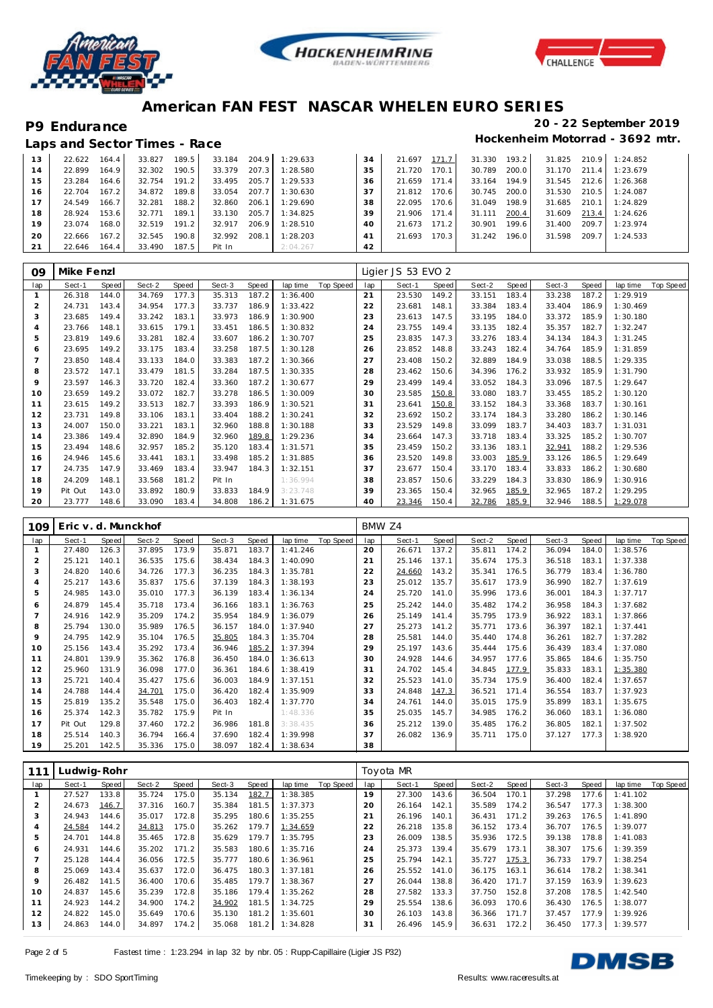





|    | Laps and Sector Times - Race |       |        |       |        |       |          |               |        |       |        |                    |        |       | Hockenheim Motorrad - 3692 mtr. |
|----|------------------------------|-------|--------|-------|--------|-------|----------|---------------|--------|-------|--------|--------------------|--------|-------|---------------------------------|
| 13 | 22.622                       | 164.4 | 33.827 | 189.5 | 33.184 | 204.9 | 1:29.633 | 34            | 21.697 | 171.7 | 31.330 | 193.2              | 31.825 |       | $210.9$ 1:24.852                |
| 14 | 22.899                       | 164.9 | 32.302 | 190.5 | 33.379 | 207.3 | 1:28.580 | 35            | 21.720 | 170.1 | 30.789 | 200.0              | 31.170 | 211.4 | 1:23.679                        |
| 15 | 23.284                       | 164.6 | 32.754 | 191.2 | 33.495 | 205.7 | 1:29.533 | 36            | 21.659 | 171.4 | 33.164 | 194.9              | 31.545 | 212.6 | 1:26.368                        |
| 16 | 22.704                       | 167.2 | 34.872 | 189.8 | 33.054 | 207.7 | 1:30.630 | 37            | 21.812 | 170.6 | 30.745 | 200.0 <sup>1</sup> | 31.530 | 210.5 | 1:24.087                        |
| 17 | 24.549                       | 166.7 | 32.281 | 188.2 | 32.860 | 206.1 | 1:29.690 | 38            | 22.095 | 170.6 | 31.049 | 198.9              | 31.685 | 210.1 | 1:24.829                        |
| 18 | 28.924                       | 153.6 | 32.771 | 189.1 | 33.130 | 205.7 | 1:34.825 | 39            | 21.906 | 171.4 | 31.111 | 200.4              | 31.609 | 213.4 | 1:24.626                        |
| 19 | 23.074                       | 168.0 | 32.519 | 191.2 | 32.917 | 206.9 | 1:28.510 | 40            | 21.673 | 171.2 | 30.901 | 199.6              | 31.400 | 209.7 | 1:23.974                        |
| 20 | 22.666                       | 167.2 | 32.545 | 190.8 | 32.992 | 208.1 | 1:28.203 | $\mathcal{A}$ | 21.693 | 170.3 | 31.242 | 196.0              | 31.598 | 209.7 | 1:24.533                        |
| 21 | 22.646                       | 164.4 | 33.490 | 187.5 | Pit In |       | 2:04.267 | 42            |        |       |        |                    |        |       |                                 |

| 09             | Mike Fenzl |       |        |       |        |       |          |           |     | Ligier JS 53 EVO 2 |       |        |       |        |       |          |           |
|----------------|------------|-------|--------|-------|--------|-------|----------|-----------|-----|--------------------|-------|--------|-------|--------|-------|----------|-----------|
| lap            | Sect-1     | Speed | Sect-2 | Speed | Sect-3 | Speed | lap time | Top Speed | lap | Sect-1             | Speed | Sect-2 | Speed | Sect-3 | Speed | lap time | Top Speed |
|                | 26.318     | 144.0 | 34.769 | 177.3 | 35.313 | 187.2 | 1:36.400 |           | 21  | 23.530             | 149.2 | 33.151 | 183.4 | 33.238 | 187.2 | 1:29.919 |           |
| $\overline{2}$ | 24.731     | 143.4 | 34.954 | 177.3 | 33.737 | 186.9 | 1:33.422 |           | 22  | 23.681             | 148.1 | 33.384 | 183.4 | 33.404 | 186.9 | 1:30.469 |           |
| 3              | 23.685     | 149.4 | 33.242 | 183.1 | 33.973 | 186.9 | 1:30.900 |           | 23  | 23.613             | 147.5 | 33.195 | 184.0 | 33.372 | 185.9 | 1:30.180 |           |
| 4              | 23.766     | 148.1 | 33.615 | 179.1 | 33.451 | 186.5 | 1:30.832 |           | 24  | 23.755             | 149.4 | 33.135 | 182.4 | 35.357 | 182.7 | 1:32.247 |           |
| 5              | 23.819     | 149.6 | 33.281 | 182.4 | 33.607 | 186.2 | 1:30.707 |           | 25  | 23.835             | 147.3 | 33.276 | 183.4 | 34.134 | 184.3 | 1:31.245 |           |
| 6              | 23.695     | 149.2 | 33.175 | 183.4 | 33.258 | 187.5 | 1:30.128 |           | 26  | 23.852             | 148.8 | 33.243 | 182.4 | 34.764 | 185.9 | 1:31.859 |           |
|                | 23.850     | 148.4 | 33.133 | 184.0 | 33.383 | 187.2 | 1:30.366 |           | 27  | 23.408             | 150.2 | 32.889 | 184.9 | 33.038 | 188.5 | 1:29.335 |           |
| 8              | 23.572     | 147.1 | 33.479 | 181.5 | 33.284 | 187.5 | 1:30.335 |           | 28  | 23.462             | 150.6 | 34.396 | 176.2 | 33.932 | 185.9 | 1:31.790 |           |
| $\circ$        | 23.597     | 146.3 | 33.720 | 182.4 | 33.360 | 187.2 | 1:30.677 |           | 29  | 23.499             | 149.4 | 33.052 | 184.3 | 33.096 | 187.5 | 1:29.647 |           |
| 10             | 23.659     | 149.2 | 33.072 | 182.7 | 33.278 | 186.5 | 1:30.009 |           | 30  | 23.585             | 150.8 | 33.080 | 183.7 | 33.455 | 185.2 | 1:30.120 |           |
| 11             | 23.615     | 149.2 | 33.513 | 182.7 | 33.393 | 186.9 | 1:30.521 |           | 31  | 23.641             | 150.8 | 33.152 | 184.3 | 33.368 | 183.7 | 1:30.161 |           |
| 12             | 23.731     | 149.8 | 33.106 | 183.1 | 33.404 | 188.2 | 1:30.241 |           | 32  | 23.692             | 150.2 | 33.174 | 184.3 | 33.280 | 186.2 | 1:30.146 |           |
| 13             | 24.007     | 150.0 | 33.221 | 183.1 | 32.960 | 188.8 | 1:30.188 |           | 33  | 23.529             | 149.8 | 33.099 | 183.7 | 34.403 | 183.7 | 1:31.031 |           |
| 14             | 23.386     | 149.4 | 32.890 | 184.9 | 32.960 | 189.8 | 1:29.236 |           | 34  | 23.664             | 147.3 | 33.718 | 183.4 | 33.325 | 185.2 | 1:30.707 |           |
| 15             | 23.494     | 148.6 | 32.957 | 185.2 | 35.120 | 183.4 | 1:31.571 |           | 35  | 23.459             | 150.2 | 33.136 | 183.1 | 32.941 | 188.2 | 1:29.536 |           |
| 16             | 24.946     | 145.6 | 33.441 | 183.1 | 33.498 | 185.2 | 1:31.885 |           | 36  | 23.520             | 149.8 | 33.003 | 185.9 | 33.126 | 186.5 | 1:29.649 |           |
| 17             | 24.735     | 147.9 | 33.469 | 183.4 | 33.947 | 184.3 | 1:32.151 |           | 37  | 23.677             | 150.4 | 33.170 | 183.4 | 33.833 | 186.2 | 1:30.680 |           |
| 18             | 24.209     | 148.1 | 33.568 | 181.2 | Pit In |       | 1:36.994 |           | 38  | 23.857             | 150.6 | 33.229 | 184.3 | 33.830 | 186.9 | 1:30.916 |           |
| 19             | Pit Out    | 143.0 | 33.892 | 180.9 | 33.833 | 184.9 | 3:23.748 |           | 39  | 23.365             | 150.4 | 32.965 | 185.9 | 32.965 | 187.2 | 1:29.295 |           |
| 20             | 23.777     | 148.6 | 33.090 | 183.4 | 34.808 | 186.2 | 1:31.675 |           | 40  | 23.346             | 150.4 | 32.786 | 185.9 | 32.946 | 188.5 | 1:29.078 |           |

| 109 | Eric v. d. Munckhof |       |        |       |        |       |          |           | BMW Z4 |        |       |        |       |        |       |          |           |
|-----|---------------------|-------|--------|-------|--------|-------|----------|-----------|--------|--------|-------|--------|-------|--------|-------|----------|-----------|
| lap | Sect-1              | Speed | Sect-2 | Speed | Sect-3 | Speed | lap time | Top Speed | lap    | Sect-1 | Speed | Sect-2 | Speed | Sect-3 | Speed | lap time | Top Speed |
|     | 27.480              | 126.3 | 37.895 | 173.9 | 35.871 | 183.7 | 1:41.246 |           | 20     | 26.671 | 137.2 | 35.811 | 174.2 | 36.094 | 184.0 | 1:38.576 |           |
|     | 25.121              | 140.1 | 36.535 | 175.6 | 38.434 | 184.3 | 1:40.090 |           | 21     | 25.146 | 137.1 | 35.674 | 175.3 | 36.518 | 183.1 | 1:37.338 |           |
| 3   | 24.820              | 140.6 | 34.726 | 177.3 | 36.235 | 184.3 | 1:35.781 |           | 22     | 24.660 | 143.2 | 35.341 | 176.5 | 36.779 | 183.4 | 1:36.780 |           |
| 4   | 25.217              | 143.6 | 35.837 | 175.6 | 37.139 | 184.3 | 1:38.193 |           | 23     | 25.012 | 135.7 | 35.617 | 173.9 | 36.990 | 182.7 | 1:37.619 |           |
| 5   | 24.985              | 143.0 | 35.010 | 177.3 | 36.139 | 183.4 | 1:36.134 |           | 24     | 25.720 | 141.0 | 35.996 | 173.6 | 36.001 | 184.3 | 1:37.717 |           |
| 6   | 24.879              | 145.4 | 35.718 | 173.4 | 36.166 | 183.1 | 1:36.763 |           | 25     | 25.242 | 144.0 | 35.482 | 174.2 | 36.958 | 184.3 | 1:37.682 |           |
|     | 24.916              | 142.9 | 35.209 | 174.2 | 35.954 | 184.9 | 1:36.079 |           | 26     | 25.149 | 141.4 | 35.795 | 173.9 | 36.922 | 183.1 | 1:37.866 |           |
| 8   | 25.794              | 130.0 | 35.989 | 176.5 | 36.157 | 184.0 | 1:37.940 |           | 27     | 25.273 | 141.2 | 35.771 | 173.6 | 36.397 | 182.1 | 1:37.441 |           |
| 9   | 24.795              | 142.9 | 35.104 | 176.5 | 35.805 | 184.3 | 1:35.704 |           | 28     | 25.581 | 144.0 | 35.440 | 174.8 | 36.261 | 182.7 | 1:37.282 |           |
| 10  | 25.156              | 143.4 | 35.292 | 173.4 | 36.946 | 185.2 | 1:37.394 |           | 29     | 25.197 | 143.6 | 35.444 | 175.6 | 36.439 | 183.4 | 1:37.080 |           |
| 11  | 24.801              | 139.9 | 35.362 | 176.8 | 36.450 | 184.0 | 1:36.613 |           | 30     | 24.928 | 144.6 | 34.957 | 177.6 | 35.865 | 184.6 | 1:35.750 |           |
| 12  | 25.960              | 131.9 | 36.098 | 177.0 | 36.361 | 184.6 | 1:38.419 |           | 31     | 24.702 | 145.4 | 34.845 | 177.9 | 35.833 | 183.1 | 1:35.380 |           |
| 13  | 25.721              | 140.4 | 35.427 | 175.6 | 36.003 | 184.9 | 1:37.151 |           | 32     | 25.523 | 141.0 | 35.734 | 175.9 | 36.400 | 182.4 | 1:37.657 |           |
| 14  | 24.788              | 144.4 | 34.701 | 175.0 | 36.420 | 182.4 | 1:35.909 |           | 33     | 24.848 | 147.3 | 36.521 | 171.4 | 36.554 | 183.7 | 1:37.923 |           |
| 15  | 25.819              | 135.2 | 35.548 | 175.0 | 36.403 | 182.4 | 1:37.770 |           | 34     | 24.761 | 144.0 | 35.015 | 175.9 | 35.899 | 183.1 | 1:35.675 |           |
| 16  | 25.374              | 142.3 | 35.782 | 175.9 | Pit In |       | 1:48.336 |           | 35     | 25.035 | 145.7 | 34.985 | 176.2 | 36.060 | 183.1 | 1:36.080 |           |
| 17  | Pit Out             | 129.8 | 37.460 | 172.2 | 36.986 | 181.8 | 3:38.435 |           | 36     | 25.212 | 139.0 | 35.485 | 176.2 | 36.805 | 182.1 | 1:37.502 |           |
| 18  | 25.514              | 140.3 | 36.794 | 166.4 | 37.690 | 182.4 | 1:39.998 |           | 37     | 26.082 | 136.9 | 35.711 | 175.0 | 37.127 | 177.3 | 1:38.920 |           |
| 19  | 25.201              | 142.5 | 35.336 | 175.0 | 38.097 | 182.4 | 1:38.634 |           | 38     |        |       |        |       |        |       |          |           |

| 111 | Ludwig-Rohr |       |        |       |        |       |          |           |     | Toyota MR |       |        |       |        |       |          |           |
|-----|-------------|-------|--------|-------|--------|-------|----------|-----------|-----|-----------|-------|--------|-------|--------|-------|----------|-----------|
| lap | Sect-1      | Speed | Sect-2 | Speed | Sect-3 | Speed | lap time | Top Speed | lap | Sect-1    | Speed | Sect-2 | Speed | Sect-3 | Speed | lap time | Top Speed |
|     | 27.527      | 133.8 | 35.724 | 175.0 | 35.134 | 182.7 | 1:38.385 |           | 19  | 27.300    | 143.6 | 36.504 | 170.1 | 37.298 | 177.6 | 1:41.102 |           |
|     | 24.673      | 146.7 | 37.316 | 160.7 | 35.384 | 181.5 | 1:37.373 |           | 20  | 26.164    | 142.1 | 35.589 | 174.2 | 36.547 | 177.3 | 1:38.300 |           |
| 3   | 24.943      | 144.6 | 35.017 | 172.8 | 35.295 | 180.6 | 1:35.255 |           | 21  | 26.196    | 140.1 | 36.431 | 171.2 | 39.263 | 176.5 | 1:41.890 |           |
| 4   | 24.584      | 144.2 | 34.813 | 175.0 | 35.262 | 179.7 | 1:34.659 |           | 22  | 26.218    | 135.8 | 36.152 | 173.4 | 36.707 | 176.5 | 1:39.077 |           |
| 5   | 24.701      | 144.8 | 35.465 | 172.8 | 35.629 | 179.7 | 1:35.795 |           | 23  | 26.009    | 138.5 | 35.936 | 172.5 | 39.138 | 178.8 | 1:41.083 |           |
| 6   | 24.931      | 144.6 | 35.202 | 171.2 | 35.583 | 180.6 | 1:35.716 |           | 24  | 25.373    | 139.4 | 35.679 | 173.1 | 38.307 | 175.6 | 1:39.359 |           |
|     | 25.128      | 144.4 | 36.056 | 172.5 | 35.777 | 180.6 | 1:36.961 |           | 25  | 25.794    | 142.1 | 35.727 | 175.3 | 36.733 | 179.7 | 1:38.254 |           |
| 8   | 25.069      | 143.4 | 35.637 | 172.0 | 36.475 | 180.3 | 1:37.181 |           | 26  | 25.552    | 141.0 | 36.175 | 163.1 | 36.614 | 178.2 | 1:38.341 |           |
| 9   | 26.482      | 141.5 | 36.400 | 170.6 | 35.485 | 179.7 | 1:38.367 |           | 27  | 26.044    | 138.8 | 36.420 | 171.7 | 37.159 | 163.9 | 1:39.623 |           |
| 10  | 24.837      | 145.6 | 35.239 | 172.8 | 35.186 | 179.4 | 1:35.262 |           | 28  | 27.582    | 133.3 | 37.750 | 152.8 | 37.208 | 178.5 | 1:42.540 |           |
| 11  | 24.923      | 144.2 | 34.900 | 174.2 | 34.902 | 181.5 | 1:34.725 |           | 29  | 25.554    | 138.6 | 36.093 | 170.6 | 36.430 | 176.5 | 1:38.077 |           |
| 12  | 24.822      | 145.0 | 35.649 | 170.6 | 35.130 | 181.2 | 1:35.601 |           | 30  | 26.103    | 143.8 | 36.366 | 171.7 | 37.457 | 177.9 | 1:39.926 |           |
| 13  | 24.863      | 144.0 | 34.897 | 174.2 | 35.068 | 181.2 | 1:34.828 |           | 31  | 26.496    | 145.9 | 36.631 | 172.2 | 36.450 | 177.3 | 1:39.577 |           |

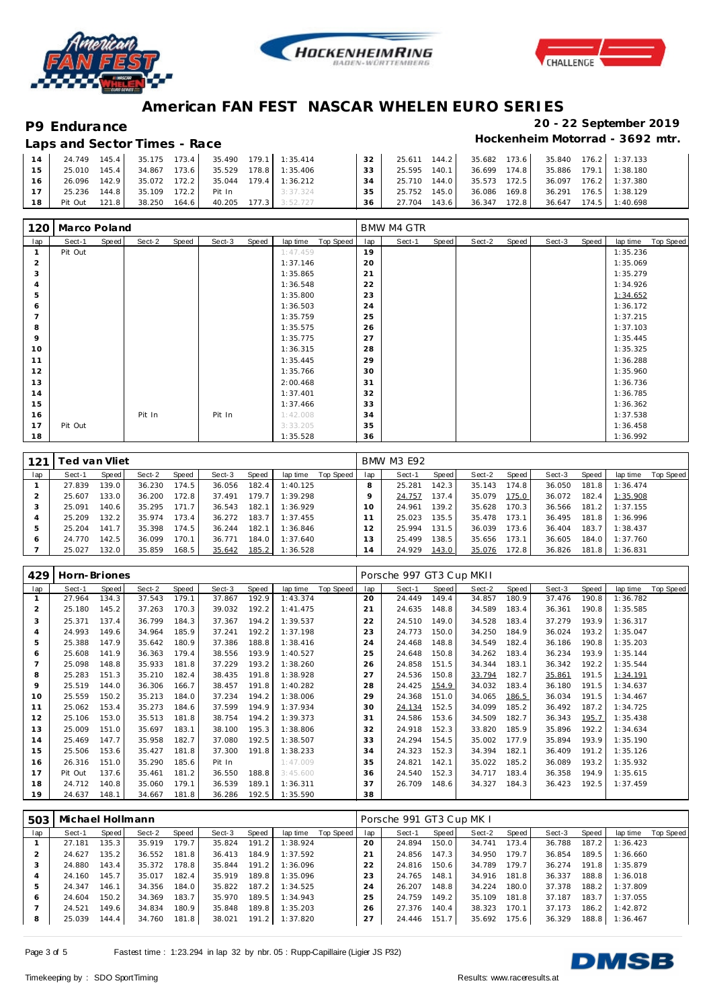





|           | Laps and Sector Times - Race |  |  |                                                       |                 |                                                    |  | Hockenheim Motorrad - 3692                            |  |
|-----------|------------------------------|--|--|-------------------------------------------------------|-----------------|----------------------------------------------------|--|-------------------------------------------------------|--|
|           |                              |  |  | 14 24.749 145.4 35.175 173.4 35.490 179.1 1:35.414    | 32 <sup>1</sup> |                                                    |  | 25.611  144.2  35.682  173.6  35.840  176.2  1:37.133 |  |
|           |                              |  |  | 15 25.010 145.4 34.867 173.6 35.529 178.8 1:35.406    | 33              |                                                    |  | 25.595  140.1  36.699  174.8  35.886  179.1  1:38.180 |  |
| <b>16</b> |                              |  |  | 26.096  142.9  35.072  172.2  35.044  179.4  1:36.212 |                 | 34 25.710 144.0 35.573 172.5 36.097 176.2 1:37.380 |  |                                                       |  |
| 17        |                              |  |  | 25.236 144.8 35.109 172.2 Pit In 3:37.324             | 35 L            | 25.752 145.0                                       |  | 36.086 169.8 36.291 176.5 1:38.129                    |  |
|           |                              |  |  | 18 Pit Out 121.8 38.250 164.6 40.205 177.3 3:52.727   |                 | 36 27.704 143.6 36.347 172.8 36.647 174.5 1:40.698 |  |                                                       |  |

| 120            | Marco Poland |       |        |       |        |       |          |           |     | <b>BMW M4 GTR</b> |       |        |       |        |       |          |           |
|----------------|--------------|-------|--------|-------|--------|-------|----------|-----------|-----|-------------------|-------|--------|-------|--------|-------|----------|-----------|
| lap            | Sect-1       | Speed | Sect-2 | Speed | Sect-3 | Speed | lap time | Top Speed | lap | Sect-1            | Speed | Sect-2 | Speed | Sect-3 | Speed | lap time | Top Speed |
|                | Pit Out      |       |        |       |        |       | 1:47.459 |           | 19  |                   |       |        |       |        |       | 1:35.236 |           |
| $\overline{2}$ |              |       |        |       |        |       | 1:37.146 |           | 20  |                   |       |        |       |        |       | 1:35.069 |           |
| 3              |              |       |        |       |        |       | 1:35.865 |           | 21  |                   |       |        |       |        |       | 1:35.279 |           |
| $\overline{4}$ |              |       |        |       |        |       | 1:36.548 |           | 22  |                   |       |        |       |        |       | 1:34.926 |           |
| 5              |              |       |        |       |        |       | 1:35.800 |           | 23  |                   |       |        |       |        |       | 1:34.652 |           |
| 6              |              |       |        |       |        |       | 1:36.503 |           | 24  |                   |       |        |       |        |       | 1:36.172 |           |
| $\overline{ }$ |              |       |        |       |        |       | 1:35.759 |           | 25  |                   |       |        |       |        |       | 1:37.215 |           |
| 8              |              |       |        |       |        |       | 1:35.575 |           | 26  |                   |       |        |       |        |       | 1:37.103 |           |
| 9              |              |       |        |       |        |       | 1:35.775 |           | 27  |                   |       |        |       |        |       | 1:35.445 |           |
| 10             |              |       |        |       |        |       | 1:36.315 |           | 28  |                   |       |        |       |        |       | 1:35.325 |           |
| 11             |              |       |        |       |        |       | 1:35.445 |           | 29  |                   |       |        |       |        |       | 1:36.288 |           |
| 12             |              |       |        |       |        |       | 1:35.766 |           | 30  |                   |       |        |       |        |       | 1:35.960 |           |
| 13             |              |       |        |       |        |       | 2:00.468 |           | 31  |                   |       |        |       |        |       | 1:36.736 |           |
| 14             |              |       |        |       |        |       | 1:37.401 |           | 32  |                   |       |        |       |        |       | 1:36.785 |           |
| 15             |              |       |        |       |        |       | 1:37.466 |           | 33  |                   |       |        |       |        |       | 1:36.362 |           |
| 16             |              |       | Pit In |       | Pit In |       | 1:42.008 |           | 34  |                   |       |        |       |        |       | 1:37.538 |           |
| 17             | Pit Out      |       |        |       |        |       | 3:33.205 |           | 35  |                   |       |        |       |        |       | 1:36.458 |           |
| 18             |              |       |        |       |        |       | 1:35.528 |           | 36  |                   |       |        |       |        |       | 1:36.992 |           |

| 121 |        | ⊺ed van Vliet |        |       |        |       |          |           |                 | <b>BMW M3 E92</b> |       |        |       |        |       |          |           |
|-----|--------|---------------|--------|-------|--------|-------|----------|-----------|-----------------|-------------------|-------|--------|-------|--------|-------|----------|-----------|
| lap | Sect-1 | Speed         | Sect-2 | Speed | Sect-3 | Speed | lap time | Top Speed | lap             | Sect-1            | Speed | Sect-2 | Speed | Sect-3 | Speed | lap time | Top Speed |
|     | 27.839 | 139.0         | 36.230 | 174.5 | 36.056 | 182.4 | 1:40.125 |           |                 | 25.281            | 142.3 | 35.143 | 174.8 | 36.050 | 181.8 | 1:36.474 |           |
|     | 25.607 | 133.0         | 36.200 | 172.8 | 37.491 | 179.7 | 1:39.298 |           |                 | 24.757            | 137.4 | 35.079 | 175.0 | 36.072 | 182.4 | 1:35.908 |           |
| 3   | 25.091 | 140.6         | 35.295 | 171.7 | 36.543 | 182.1 | 1:36.929 |           | 10 <sup>°</sup> | 24.961            | 139.2 | 35.628 | 170.3 | 36.566 | 181.2 | 1:37.155 |           |
|     | 25.209 | 132.2         | 35.974 | 173.4 | 36.272 | 183.7 | 1:37.455 |           |                 | 25.023            | 135.5 | 35.478 | 173.1 | 36.495 | 181.8 | 1:36.996 |           |
| 5   | 25.204 | 141.7         | 35.398 | 174.5 | 36.244 | 182.1 | 1:36.846 |           |                 | 25.994            | 131.5 | 36.039 | 173.6 | 36.404 | 183.7 | 1:38.437 |           |
| O   | 24.770 | 142.5         | 36.099 | 170.1 | 36.771 | 184.0 | 1:37.640 |           | 3               | 25.499            | 138.5 | 35.656 | 173.1 | 36.605 | 184.0 | 1:37.760 |           |
|     | 25.027 | 132.0         | 35.859 | 168.5 | 35.642 | 185.2 | 1:36.528 |           | 14              | 24.929            | 143.0 | 35.076 | 172.8 | 36.826 | 181.8 | 1:36.831 |           |

| 429            | Horn-Briones |              |        |       |        |       |          |           |     | Porsche 997 GT3 Cup MKII |       |        |       |        |       |          |           |
|----------------|--------------|--------------|--------|-------|--------|-------|----------|-----------|-----|--------------------------|-------|--------|-------|--------|-------|----------|-----------|
| lap            | Sect-1       | <b>Speed</b> | Sect-2 | Speed | Sect-3 | Speed | lap time | Top Speed | lap | Sect-1                   | Speed | Sect-2 | Speed | Sect-3 | Speed | lap time | Top Speed |
|                | 27.964       | 134.3        | 37.543 | 179.1 | 37.867 | 192.9 | 1:43.374 |           | 20  | 24.449                   | 149.4 | 34.857 | 180.9 | 37.476 | 190.8 | 1:36.782 |           |
| 2              | 25.180       | 145.2        | 37.263 | 170.3 | 39.032 | 192.2 | 1:41.475 |           | 21  | 24.635                   | 148.8 | 34.589 | 183.4 | 36.361 | 190.8 | 1:35.585 |           |
| 3              | 25.371       | 137.4        | 36.799 | 184.3 | 37.367 | 194.2 | 1:39.537 |           | 22  | 24.510                   | 149.0 | 34.528 | 183.4 | 37.279 | 193.9 | 1:36.317 |           |
| $\overline{4}$ | 24.993       | 149.6        | 34.964 | 185.9 | 37.241 | 192.2 | 1:37.198 |           | 23  | 24.773                   | 150.0 | 34.250 | 184.9 | 36.024 | 193.2 | 1:35.047 |           |
| 5              | 25.388       | 147.9        | 35.642 | 180.9 | 37.386 | 188.8 | 1:38.416 |           | 24  | 24.468                   | 148.8 | 34.549 | 182.4 | 36.186 | 190.8 | 1:35.203 |           |
| 6              | 25.608       | 141.9        | 36.363 | 179.4 | 38.556 | 193.9 | 1:40.527 |           | 25  | 24.648                   | 150.8 | 34.262 | 183.4 | 36.234 | 193.9 | 1:35.144 |           |
|                | 25.098       | 148.8        | 35.933 | 181.8 | 37.229 | 193.2 | 1:38.260 |           | 26  | 24.858                   | 151.5 | 34.344 | 183.1 | 36.342 | 192.2 | 1:35.544 |           |
| 8              | 25.283       | 151.3        | 35.210 | 182.4 | 38.435 | 191.8 | 1:38.928 |           | 27  | 24.536                   | 150.8 | 33.794 | 182.7 | 35.861 | 191.5 | 1:34.191 |           |
| 9              | 25.519       | 144.0        | 36.306 | 166.7 | 38.457 | 191.8 | 1:40.282 |           | 28  | 24.425                   | 154.9 | 34.032 | 183.4 | 36.180 | 191.5 | 1:34.637 |           |
| 10             | 25.559       | 150.2        | 35.213 | 184.0 | 37.234 | 194.2 | 1:38.006 |           | 29  | 24.368                   | 151.0 | 34.065 | 186.5 | 36.034 | 191.5 | 1:34.467 |           |
| 11             | 25.062       | 153.4        | 35.273 | 184.6 | 37.599 | 194.9 | 1:37.934 |           | 30  | 24.134                   | 152.5 | 34.099 | 185.2 | 36.492 | 187.2 | 1:34.725 |           |
| 12             | 25.106       | 153.0        | 35.513 | 181.8 | 38.754 | 194.2 | 1:39.373 |           | 31  | 24.586                   | 153.6 | 34.509 | 182.7 | 36.343 | 195.7 | 1:35.438 |           |
| 13             | 25.009       | 151.0        | 35.697 | 183.1 | 38.100 | 195.3 | 1:38.806 |           | 32  | 24.918                   | 152.3 | 33.820 | 185.9 | 35.896 | 192.2 | 1:34.634 |           |
| 14             | 25.469       | 147.7        | 35.958 | 182.7 | 37.080 | 192.5 | 1:38.507 |           | 33  | 24.294                   | 154.5 | 35.002 | 177.9 | 35.894 | 193.9 | 1:35.190 |           |
| 15             | 25.506       | 153.6        | 35.427 | 181.8 | 37.300 | 191.8 | 1:38.233 |           | 34  | 24.323                   | 152.3 | 34.394 | 182.1 | 36.409 | 191.2 | 1:35.126 |           |
| 16             | 26.316       | 151.0        | 35.290 | 185.6 | Pit In |       | 1:47.009 |           | 35  | 24.821                   | 142.1 | 35.022 | 185.2 | 36.089 | 193.2 | 1:35.932 |           |
| 17             | Pit Out      | 137.6        | 35.461 | 181.2 | 36.550 | 188.8 | 3:45.600 |           | 36  | 24.540                   | 152.3 | 34.717 | 183.4 | 36.358 | 194.9 | 1:35.615 |           |
| 18             | 24.712       | 140.8        | 35.060 | 179.1 | 36.539 | 189.1 | 1:36.311 |           | 37  | 26.709                   | 148.6 | 34.327 | 184.3 | 36.423 | 192.5 | 1:37.459 |           |
| 19             | 24.637       | 148.1        | 34.667 | 181.8 | 36.286 | 192.5 | 1:35.590 |           | 38  |                          |       |        |       |        |       |          |           |

| 503 | Michael Hollmann |       |        |       |        |       |          |           |                | Porsche 991 GT3 Cup MK I |                    |        |       |        |       |          |           |
|-----|------------------|-------|--------|-------|--------|-------|----------|-----------|----------------|--------------------------|--------------------|--------|-------|--------|-------|----------|-----------|
| lap | Sect-1           | Speed | Sect-2 | Speed | Sect-3 | Speed | lap time | Top Speed | lap            | Sect-1                   | Speed              | Sect-2 | Speed | Sect-3 | Speed | lap time | Top Speed |
|     | 27.181           | 135.3 | 35.919 | 179.7 | 35.824 | 191.2 | 1:38.924 |           | 20             | 24.894                   | 150.0              | 34.741 | 173.4 | 36.788 | 187.2 | 1:36.423 |           |
|     | 24.627           | 135.2 | 36.552 | 181.8 | 36.413 | 184.9 | 1:37.592 |           | 2 <sup>1</sup> | 24.856                   | 147.3              | 34.950 | 179.7 | 36.854 | 189.5 | 1:36.660 |           |
|     | 24.880           | 143.4 | 35.372 | 178.8 | 35.844 | 191.2 | 1:36.096 |           | 22             | 24.816                   | 150.6              | 34.789 | 179.7 | 36.274 | 191.8 | 1:35.879 |           |
|     | 24.160           | 145.7 | 35.017 | 182.4 | 35.919 | 189.8 | 1:35.096 |           | 23             | 24.765                   | 148.1              | 34.916 | 181.8 | 36.337 | 188.8 | 1:36.018 |           |
| .b  | 24.347           | 146.1 | 34.356 | 184.0 | 35.822 | 187.2 | 1:34.525 |           | 24             | 26.207                   | 148.8              | 34.224 | 180.0 | 37.378 | 188.2 | 1:37.809 |           |
| 6   | 24.604           | 150.2 | 34.369 | 183.7 | 35.970 | 189.5 | 1:34.943 |           | 25             | 24.759                   | 149.2              | 35.109 | 181.8 | 37.187 | 183.7 | 1:37.055 |           |
|     | 24.521           | 149.6 | 34.834 | 180.9 | 35.848 | 189.8 | 1:35.203 |           | 26             | 27.376                   | 140.4              | 38.323 | 170.1 | 37.173 | 186.2 | 1:42.872 |           |
| 8   | 25.039           | 144.4 | 34.760 | 181.8 | 38.021 | 191.2 | 1:37.820 |           | 27             | 24.446                   | 151.7 <sup>1</sup> | 35.692 | 175.6 | 36.329 | 188.8 | 1:36.467 |           |

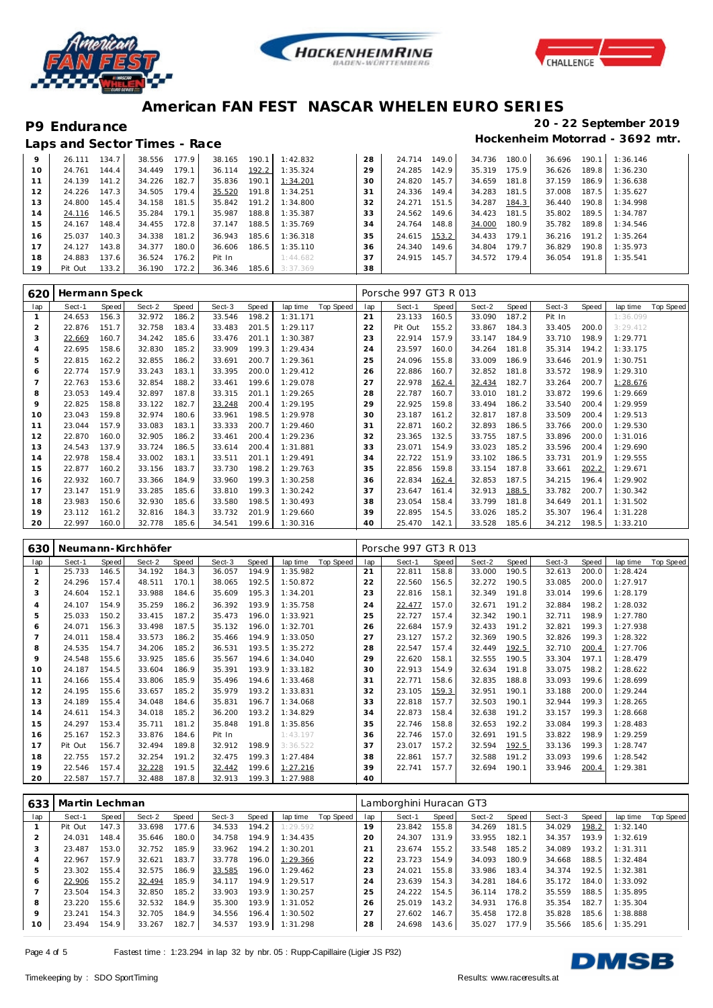





|    | Laps and Sector Times - Race |       |        |       |        |       |          |    |        |       |        |       |        |       | Hockenheim Motorrad - 3692 mtr. |
|----|------------------------------|-------|--------|-------|--------|-------|----------|----|--------|-------|--------|-------|--------|-------|---------------------------------|
| 9  | 26.111                       | 134.7 | 38.556 | 177.9 | 38.165 | 190.1 | 1:42.832 | 28 | 24.714 | 149.0 | 34.736 | 180.0 | 36.696 | 190.1 | 1:36.146                        |
| 10 | 24.761                       | 144.4 | 34.449 | 179.1 | 36.114 | 192.2 | 1:35.324 | 29 | 24.285 | 142.9 | 35.319 | 175.9 | 36.626 | 189.8 | 1:36.230                        |
| 11 | 24.139                       | 141.2 | 34.226 | 182.7 | 35.836 | 190.1 | 1:34.201 | 30 | 24.820 | 145.7 | 34.659 | 181.8 | 37.159 | 186.9 | 1:36.638                        |
| 12 | 24.226                       | 147.3 | 34.505 | 179.4 | 35.520 | 191.8 | 1:34.251 | 31 | 24.336 | 149.4 | 34.283 | 181.5 | 37.008 | 187.5 | 1:35.627                        |
| 13 | 24.800                       | 145.4 | 34.158 | 181.5 | 35.842 | 191.2 | 1:34.800 | 32 | 24.271 | 151.5 | 34.287 | 184.3 | 36.440 | 190.8 | 1:34.998                        |
| 14 | 24.116                       | 146.5 | 35.284 | 179.1 | 35.987 | 188.8 | 1:35.387 | 33 | 24.562 | 149.6 | 34.423 | 181.5 | 35.802 | 189.5 | 1:34.787                        |
| 15 | 24.167                       | 148.4 | 34.455 | 172.8 | 37.147 | 188.5 | 1:35.769 | 34 | 24.764 | 148.8 | 34.000 | 180.9 | 35.782 | 189.8 | 1:34.546                        |
| 16 | 25.037                       | 140.3 | 34.338 | 181.2 | 36.943 | 185.6 | 1:36.318 | 35 | 24.615 | 153.2 | 34.433 | 179.1 | 36.216 | 191.2 | 1:35.264                        |
| 17 | 24.127                       | 143.8 | 34.377 | 180.0 | 36.606 | 186.5 | 1:35.110 | 36 | 24.340 | 149.6 | 34.804 | 179.7 | 36.829 | 190.8 | 1:35.973                        |
| 18 | 24.883                       | 137.6 | 36.524 | 176.2 | Pit In |       | 1:44.682 | 37 | 24.915 | 145.7 | 34.572 | 179.4 | 36.054 | 191.8 | 1:35.541                        |
| 19 | Pit Out                      | 133.2 | 36.190 | 172.2 | 36.346 | 185.6 | 3:37.369 | 38 |        |       |        |       |        |       |                                 |

| 620            | Hermann Speck |       |        |       |        |       |          |           |     | Porsche 997 GT3 R 013 |       |        |       |        |       |          |           |
|----------------|---------------|-------|--------|-------|--------|-------|----------|-----------|-----|-----------------------|-------|--------|-------|--------|-------|----------|-----------|
| lap            | Sect-1        | Speed | Sect-2 | Speed | Sect-3 | Speed | lap time | Top Speed | lap | Sect-1                | Speed | Sect-2 | Speed | Sect-3 | Speed | lap time | Top Speed |
|                | 24.653        | 156.3 | 32.972 | 186.2 | 33.546 | 198.2 | 1:31.171 |           | 21  | 23.133                | 160.5 | 33.090 | 187.2 | Pit In |       | 1:36.099 |           |
| $\overline{2}$ | 22.876        | 151.7 | 32.758 | 183.4 | 33.483 | 201.5 | 1:29.117 |           | 22  | Pit Out               | 155.2 | 33.867 | 184.3 | 33.405 | 200.0 | 3:29.412 |           |
| 3              | 22.669        | 160.7 | 34.242 | 185.6 | 33.476 | 201.1 | 1:30.387 |           | 23  | 22.914                | 157.9 | 33.147 | 184.9 | 33.710 | 198.9 | 1:29.771 |           |
| $\overline{4}$ | 22.695        | 158.6 | 32.830 | 185.2 | 33.909 | 199.3 | 1:29.434 |           | 24  | 23.597                | 160.0 | 34.264 | 181.8 | 35.314 | 194.2 | 1:33.175 |           |
| 5              | 22.815        | 162.2 | 32.855 | 186.2 | 33.691 | 200.7 | 1:29.361 |           | 25  | 24.096                | 155.8 | 33.009 | 186.9 | 33.646 | 201.9 | 1:30.751 |           |
| 6              | 22.774        | 157.9 | 33.243 | 183.1 | 33.395 | 200.0 | 1:29.412 |           | 26  | 22.886                | 160.7 | 32.852 | 181.8 | 33.572 | 198.9 | 1:29.310 |           |
|                | 22.763        | 153.6 | 32.854 | 188.2 | 33.461 | 199.6 | 1:29.078 |           | 27  | 22.978                | 162.4 | 32.434 | 182.7 | 33.264 | 200.7 | 1:28.676 |           |
| 8              | 23.053        | 149.4 | 32.897 | 187.8 | 33.315 | 201.1 | 1:29.265 |           | 28  | 22.787                | 160.7 | 33.010 | 181.2 | 33.872 | 199.6 | 1:29.669 |           |
| 9              | 22.825        | 158.8 | 33.122 | 182.7 | 33.248 | 200.4 | 1:29.195 |           | 29  | 22.925                | 159.8 | 33.494 | 186.2 | 33.540 | 200.4 | 1:29.959 |           |
| 10             | 23.043        | 159.8 | 32.974 | 180.6 | 33.961 | 198.5 | 1:29.978 |           | 30  | 23.187                | 161.2 | 32.817 | 187.8 | 33.509 | 200.4 | 1:29.513 |           |
| 11             | 23.044        | 157.9 | 33.083 | 183.1 | 33.333 | 200.7 | 1:29.460 |           | 31  | 22.871                | 160.2 | 32.893 | 186.5 | 33.766 | 200.0 | 1:29.530 |           |
| 12             | 22.870        | 160.0 | 32.905 | 186.2 | 33.461 | 200.4 | 1:29.236 |           | 32  | 23.365                | 132.5 | 33.755 | 187.5 | 33.896 | 200.0 | 1:31.016 |           |
| 13             | 24.543        | 137.9 | 33.724 | 186.5 | 33.614 | 200.4 | 1:31.881 |           | 33  | 23.071                | 154.9 | 33.023 | 185.2 | 33.596 | 200.4 | 1:29.690 |           |
| 14             | 22.978        | 158.4 | 33.002 | 183.1 | 33.511 | 201.1 | 1:29.491 |           | 34  | 22.722                | 151.9 | 33.102 | 186.5 | 33.731 | 201.9 | 1:29.555 |           |
| 15             | 22.877        | 160.2 | 33.156 | 183.7 | 33.730 | 198.2 | 1:29.763 |           | 35  | 22.856                | 159.8 | 33.154 | 187.8 | 33.661 | 202.2 | 1:29.671 |           |
| 16             | 22.932        | 160.7 | 33.366 | 184.9 | 33.960 | 199.3 | 1:30.258 |           | 36  | 22.834                | 162.4 | 32.853 | 187.5 | 34.215 | 196.4 | 1:29.902 |           |
| 17             | 23.147        | 151.9 | 33.285 | 185.6 | 33.810 | 199.3 | 1:30.242 |           | 37  | 23.647                | 161.4 | 32.913 | 188.5 | 33.782 | 200.7 | 1:30.342 |           |
| 18             | 23.983        | 150.6 | 32.930 | 185.6 | 33.580 | 198.5 | 1:30.493 |           | 38  | 23.054                | 158.4 | 33.799 | 181.8 | 34.649 | 201.1 | 1:31.502 |           |
| 19             | 23.112        | 161.2 | 32.816 | 184.3 | 33.732 | 201.9 | 1:29.660 |           | 39  | 22.895                | 154.5 | 33.026 | 185.2 | 35.307 | 196.4 | 1:31.228 |           |
| 20             | 22.997        | 160.0 | 32.778 | 185.6 | 34.541 | 199.6 | 1:30.316 |           | 40  | 25.470                | 142.1 | 33.528 | 185.6 | 34.212 | 198.5 | 1:33.210 |           |

| 630            |         |       | Neumann-Kirchhöfer |       |        |       |          |           |     | Porsche 997 GT3 R 013 |       |        |       |        |       |          |           |
|----------------|---------|-------|--------------------|-------|--------|-------|----------|-----------|-----|-----------------------|-------|--------|-------|--------|-------|----------|-----------|
| lap            | Sect-1  | Speed | Sect-2             | Speed | Sect-3 | Speed | lap time | Top Speed | lap | Sect-1                | Speed | Sect-2 | Speed | Sect-3 | Speed | lap time | Top Speed |
|                | 25.733  | 146.5 | 34.192             | 184.3 | 36.057 | 194.9 | 1:35.982 |           | 21  | 22.811                | 158.8 | 33.000 | 190.5 | 32.613 | 200.0 | 1:28.424 |           |
| 2              | 24.296  | 157.4 | 48.511             | 170.1 | 38.065 | 192.5 | 1:50.872 |           | 22  | 22.560                | 156.5 | 32.272 | 190.5 | 33.085 | 200.0 | 1:27.917 |           |
| 3              | 24.604  | 152.1 | 33.988             | 184.6 | 35.609 | 195.3 | 1:34.201 |           | 23  | 22.816                | 158.1 | 32.349 | 191.8 | 33.014 | 199.6 | 1:28.179 |           |
| $\overline{4}$ | 24.107  | 154.9 | 35.259             | 186.2 | 36.392 | 193.9 | 1:35.758 |           | 24  | 22.477                | 157.0 | 32.671 | 191.2 | 32.884 | 198.2 | 1:28.032 |           |
| 5              | 25.033  | 150.2 | 33.415             | 187.2 | 35.473 | 196.0 | 1:33.921 |           | 25  | 22.727                | 157.4 | 32.342 | 190.1 | 32.711 | 198.9 | 1:27.780 |           |
| 6              | 24.071  | 156.3 | 33.498             | 187.5 | 35.132 | 196.0 | 1:32.701 |           | 26  | 22.684                | 157.9 | 32.433 | 191.2 | 32.821 | 199.3 | 1:27.938 |           |
|                | 24.011  | 158.4 | 33.573             | 186.2 | 35.466 | 194.9 | 1:33.050 |           | 27  | 23.127                | 157.2 | 32.369 | 190.5 | 32.826 | 199.3 | 1:28.322 |           |
| 8              | 24.535  | 154.7 | 34.206             | 185.2 | 36.531 | 193.5 | 1:35.272 |           | 28  | 22.547                | 157.4 | 32.449 | 192.5 | 32.710 | 200.4 | 1:27.706 |           |
| 9              | 24.548  | 155.6 | 33.925             | 185.6 | 35.567 | 194.6 | 1:34.040 |           | 29  | 22.620                | 158.1 | 32.555 | 190.5 | 33.304 | 197.1 | 1:28.479 |           |
| 10             | 24.187  | 154.5 | 33.604             | 186.9 | 35.391 | 193.9 | 1:33.182 |           | 30  | 22.913                | 154.9 | 32.634 | 191.8 | 33.075 | 198.2 | 1:28.622 |           |
| 11             | 24.166  | 155.4 | 33.806             | 185.9 | 35.496 | 194.6 | 1:33.468 |           | 31  | 22.771                | 158.6 | 32.835 | 188.8 | 33.093 | 199.6 | 1:28.699 |           |
| 12             | 24.195  | 155.6 | 33.657             | 185.2 | 35.979 | 193.2 | 1:33.831 |           | 32  | 23.105                | 159.3 | 32.951 | 190.1 | 33.188 | 200.0 | 1:29.244 |           |
| 13             | 24.189  | 155.4 | 34.048             | 184.6 | 35.831 | 196.7 | 1:34.068 |           | 33  | 22.818                | 157.7 | 32.503 | 190.1 | 32.944 | 199.3 | 1:28.265 |           |
| 14             | 24.611  | 154.3 | 34.018             | 185.2 | 36.200 | 193.2 | 1:34.829 |           | 34  | 22.873                | 158.4 | 32.638 | 191.2 | 33.157 | 199.3 | 1:28.668 |           |
| 15             | 24.297  | 153.4 | 35.711             | 181.2 | 35.848 | 191.8 | 1:35.856 |           | 35  | 22.746                | 158.8 | 32.653 | 192.2 | 33.084 | 199.3 | 1:28.483 |           |
| 16             | 25.167  | 152.3 | 33.876             | 184.6 | Pit In |       | 1:43.197 |           | 36  | 22.746                | 157.0 | 32.691 | 191.5 | 33.822 | 198.9 | 1:29.259 |           |
| 17             | Pit Out | 156.7 | 32.494             | 189.8 | 32.912 | 198.9 | 3:36.522 |           | 37  | 23.017                | 157.2 | 32.594 | 192.5 | 33.136 | 199.3 | 1:28.747 |           |
| 18             | 22.755  | 157.2 | 32.254             | 191.2 | 32.475 | 199.3 | 1:27.484 |           | 38  | 22.861                | 157.7 | 32.588 | 191.2 | 33.093 | 199.6 | 1:28.542 |           |
| 19             | 22.546  | 157.4 | 32.228             | 191.5 | 32.442 | 199.6 | 1:27.216 |           | 39  | 22.741                | 157.7 | 32.694 | 190.1 | 33.946 | 200.4 | 1:29.381 |           |
| 20             | 22.587  | 157.7 | 32.488             | 187.8 | 32.913 | 199.3 | 1:27.988 |           | 40  |                       |       |        |       |        |       |          |           |

| 633 | Martin Lechman |       |        |       |        |       |          |           |     | Lamborghini Huracan GT3 |       |        |       |        |       |          |           |
|-----|----------------|-------|--------|-------|--------|-------|----------|-----------|-----|-------------------------|-------|--------|-------|--------|-------|----------|-----------|
| lap | Sect-1         | Speed | Sect-2 | Speed | Sect-3 | Speed | lap time | Top Speed | lap | Sect-1                  | Speed | Sect-2 | Speed | Sect-3 | Speed | lap time | Top Speed |
|     | Pit Out        | 147.3 | 33.698 | 177.6 | 34.533 | 194.2 | 1:29.592 |           | 19  | 23.842                  | 155.8 | 34.269 | 181.5 | 34.029 | 198.2 | 1:32.140 |           |
|     | 24.031         | 148.4 | 35.646 | 180.0 | 34.758 | 194.9 | 1:34.435 |           | 20  | 24.307                  | 131.9 | 33.955 | 182.1 | 34.357 | 193.9 | 1:32.619 |           |
| 3   | 23.487         | 153.0 | 32.752 | 185.9 | 33.962 | 194.2 | 1:30.201 |           | 21  | 23.674                  | 155.2 | 33.548 | 185.2 | 34.089 | 193.2 | 1:31.311 |           |
| 4   | 22.967         | 157.9 | 32.621 | 183.7 | 33.778 | 196.0 | 1:29.366 |           | 22  | 23.723                  | 154.9 | 34.093 | 180.9 | 34.668 | 188.5 | 1:32.484 |           |
| 5   | 23.302         | 155.4 | 32.575 | 186.9 | 33.585 | 196.0 | 1:29.462 |           | 23  | 24.021                  | 155.8 | 33.986 | 183.4 | 34.374 | 192.5 | 1:32.381 |           |
| 6   | 22.906         | 155.2 | 32.494 | 185.9 | 34.117 | 194.9 | 1:29.517 |           | 24  | 23.639                  | 154.3 | 34.281 | 184.6 | 35.172 | 184.0 | 1:33.092 |           |
|     | 23.504         | 154.3 | 32.850 | 185.2 | 33.903 | 193.9 | 1:30.257 |           | 25  | 24.222                  | 154.5 | 36.114 | 178.2 | 35.559 | 188.5 | 1:35.895 |           |
| 8   | 23.220         | 155.6 | 32.532 | 184.9 | 35.300 | 193.9 | 1:31.052 |           | 26  | 25.019                  | 143.2 | 34.931 | 176.8 | 35.354 | 182.7 | 1:35.304 |           |
| 9   | 23.241         | 154.3 | 32.705 | 184.9 | 34.556 | 196.4 | 1:30.502 |           | 27  | 27.602                  | 146.7 | 35.458 | 172.8 | 35.828 | 185.6 | 1:38.888 |           |
| 10  | 23.494         | 154.9 | 33.267 | 182.7 | 34.537 | 193.9 | 1:31.298 |           | 28  | 24.698                  | 143.6 | 35.027 | 177.9 | 35.566 | 185.6 | 1:35.291 |           |